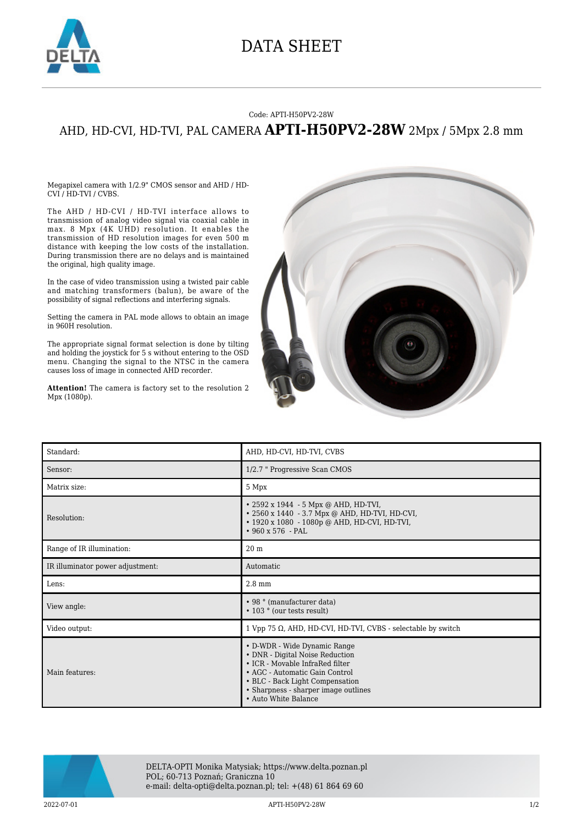

## DATA SHEET

## Code: APTI-H50PV2-28W

## AHD, HD-CVI, HD-TVI, PAL CAMERA **APTI-H50PV2-28W** 2Mpx / 5Mpx 2.8 mm

Megapixel camera with 1/2.9" CMOS sensor and AHD / HD-CVI / HD-TVI / CVBS.

The AHD / HD-CVI / HD-TVI interface allows to transmission of analog video signal via coaxial cable in max. 8 Mpx (4K UHD) resolution. It enables the transmission of HD resolution images for even 500 m distance with keeping the low costs of the installation. During transmission there are no delays and is maintained the original, high quality image.

In the case of video transmission using a twisted pair cable and matching transformers (balun), be aware of the possibility of signal reflections and interfering signals.

Setting the camera in PAL mode allows to obtain an image in 960H resolution.

The appropriate signal format selection is done by tilting and holding the joystick for 5 s without entering to the OSD menu. Changing the signal to the NTSC in the camera causes loss of image in connected AHD recorder.

**Attention!** The camera is factory set to the resolution 2 Mpx (1080p).



| Standard:                        | AHD, HD-CVI, HD-TVI, CVBS                                                                                                                                                                                                               |
|----------------------------------|-----------------------------------------------------------------------------------------------------------------------------------------------------------------------------------------------------------------------------------------|
| Sensor:                          | 1/2.7 " Progressive Scan CMOS                                                                                                                                                                                                           |
| Matrix size:                     | 5 Mpx                                                                                                                                                                                                                                   |
| Resolution:                      | • 2592 x 1944 - 5 Mpx @ AHD, HD-TVI,<br>• 2560 x 1440 - 3.7 Mpx @ AHD, HD-TVI, HD-CVI,<br>• 1920 x 1080 - 1080p @ AHD, HD-CVI, HD-TVI,<br>$•960 x 576 - PAL$                                                                            |
| Range of IR illumination:        | 20 <sub>m</sub>                                                                                                                                                                                                                         |
| IR illuminator power adjustment: | Automatic                                                                                                                                                                                                                               |
| Lens:                            | 2.8 mm                                                                                                                                                                                                                                  |
| View angle:                      | • 98 ° (manufacturer data)<br>• 103 ° (our tests result)                                                                                                                                                                                |
| Video output:                    | 1 Vpp 75 $\Omega$ , AHD, HD-CVI, HD-TVI, CVBS - selectable by switch                                                                                                                                                                    |
| Main features:                   | • D-WDR - Wide Dynamic Range<br>• DNR - Digital Noise Reduction<br>• ICR - Movable InfraRed filter<br>• AGC - Automatic Gain Control<br>• BLC - Back Light Compensation<br>• Sharpness - sharper image outlines<br>• Auto White Balance |



DELTA-OPTI Monika Matysiak; https://www.delta.poznan.pl POL; 60-713 Poznań; Graniczna 10 e-mail: delta-opti@delta.poznan.pl; tel: +(48) 61 864 69 60